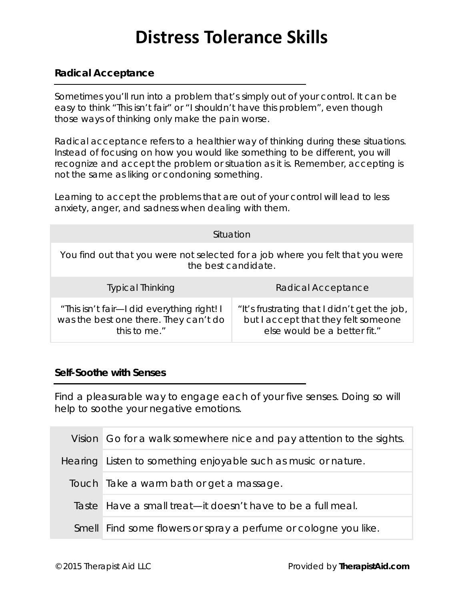# **Distress Tolerance Skills**

### **Radical Acceptance**

Sometimes you'll run into a problem that's simply out of your control. It can be easy to think "This isn't fair" or "I shouldn't have this problem", even though those ways of thinking only make the pain worse.

*Radical acceptance* refers to a healthier way of thinking during these situations. Instead of focusing on how you would like something to be different, you will recognize and accept the problem or situation as it is. Remember, accepting is not the same as liking or condoning something.

Learning to accept the problems that are out of your control will lead to less anxiety, anger, and sadness when dealing with them.

|                                                                                                       | Situation                                                                                                           |
|-------------------------------------------------------------------------------------------------------|---------------------------------------------------------------------------------------------------------------------|
| You find out that you were not selected for a job where you felt that you were<br>the best candidate. |                                                                                                                     |
| <b>Typical Thinking</b>                                                                               | Radical Acceptance                                                                                                  |
| "This isn't fair-I did everything right! I<br>was the best one there. They can't do<br>this to me."   | "It's frustrating that I didn't get the job,<br>but I accept that they felt someone<br>else would be a better fit." |

#### **Self-Soothe with Senses**

Find a pleasurable way to engage each of your five senses. Doing so will help to soothe your negative emotions.

| Vision Go for a walk somewhere nice and pay attention to the sights. |
|----------------------------------------------------------------------|
| Hearing Listen to something enjoyable such as music or nature.       |
| Touch Take a warm bath or get a massage.                             |
| Taste Have a small treat—it doesn't have to be a full meal.          |
| Smell Find some flowers or spray a perfume or cologne you like.      |